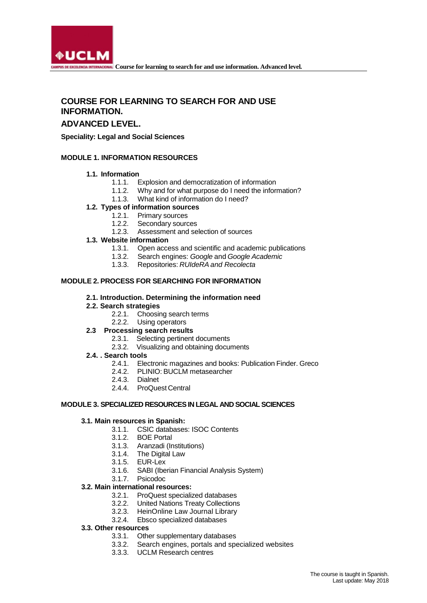

# **COURSE FOR LEARNING TO SEARCH FOR AND USE INFORMATION.**

# **ADVANCED LEVEL.**

**Speciality: Legal and Social Sciences**

## **MODULE 1. INFORMATION RESOURCES**

#### **1.1. Information**

- 1.1.1. Explosion and democratization of information
- 1.1.2. Why and for what purpose do I need the information?
- 1.1.3. What kind of information do I need?

# **1.2. Types of information sources**

- 1.2.1. Primary sources
- 1.2.2. Secondary sources
- 1.2.3. Assessment and selection of sources
- **1.3. Website information**
	- 1.3.1. Open access and scientific and academic publications
	- 1.3.2. Search engines: *Google* and *Google Academic*
	- 1.3.3. Repositories: *RUIdeRA and Recolecta*

## **MODULE 2. PROCESS FOR SEARCHING FOR INFORMATION**

#### **2.1. Introduction. Determining the information need**

#### **2.2. Search strategies**

- 2.2.1. Choosing search terms
- 2.2.2. Using operators

## **2.3 Processing search results**

- 2.3.1. Selecting pertinent documents
- 2.3.2. Visualizing and obtaining documents
- **2.4. . Search tools**
	- 2.4.1. Electronic magazines and books: Publication Finder. Greco
	- 2.4.2. PLINIO: BUCLM metasearcher
	- 2.4.3. Dialnet
	- 2.4.4. ProQuest Central

#### **MODULE 3. SPECIALIZED RESOURCESIN LEGAL AND SOCIAL SCIENCES**

## **3.1. Main resources in Spanish:**

- 3.1.1. CSIC databases: ISOC Contents
- 3.1.2. BOE Portal
- 3.1.3. Aranzadi (Institutions)
- 3.1.4. The Digital Law
- 3.1.5. EUR-Lex
- SABI (Iberian Financial Analysis System) 3.1.7. Psicodoc
- 

#### **3.2. Main international resources:**

- 3.2.1. ProQuest specialized databases
- 3.2.2. United Nations Treaty Collections
- 3.2.3. HeinOnline Law Journal Library
- 3.2.4. Ebsco specialized databases

#### **3.3. Other resources**

- 3.3.1. Other supplementary databases
- 3.3.2. Search engines, portals and specialized websites
- 3.3.3. UCLM Research centres